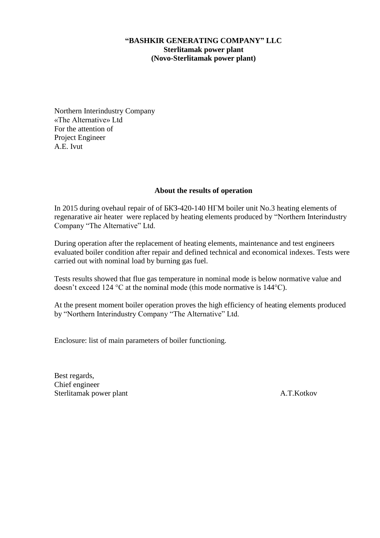## **"BASHKIR GENERATING COMPANY" LLC Sterlitamak power plant (Novo-Sterlitamak power plant)**

Northern Interindustry Company «The Alternative» Ltd For the attention of Project Engineer A.E. Ivut

## **About the results of operation**

In 2015 during ovehaul repair of of БКЗ-420-140 НГМ boiler unit No.3 heating elements of regenarative air heater were replaced by heating elements produced by "Northern Interindustry Company "The Alternative" Ltd.

During operation after the replacement of heating elements, maintenance and test engineers evaluated boiler condition after repair and defined technical and economical indexes. Tests were carried out with nominal load by burning gas fuel.

Tests results showed that flue gas temperature in nominal mode is below normative value and doesn't exceed 124 °С at the nominal mode (this mode normative is 144°С).

At the present moment boiler operation proves the high efficiency of heating elements produced by "Northern Interindustry Company "The Alternative" Ltd.

Enclosure: list of main parameters of boiler functioning.

Best regards, Chief engineer Sterlitamak power plant A.T.Kotkov